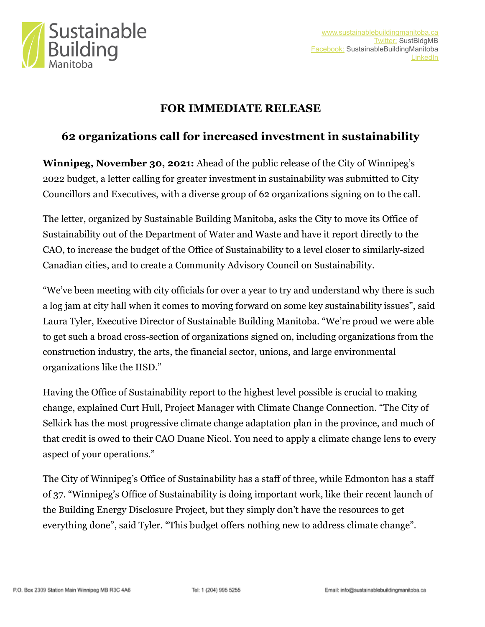

## **FOR IMMEDIATE RELEASE**

## **62 organizations call for increased investment in sustainability**

**Winnipeg, November 30, 2021:** Ahead of the public release of the City of Winnipeg's 2022 budget, a letter calling for greater investment in sustainability was submitted to City Councillors and Executives, with a diverse group of 62 organizations signing on to the call.

The letter, organized by Sustainable Building Manitoba, asks the City to move its Office of Sustainability out of the Department of Water and Waste and have it report directly to the CAO, to increase the budget of the Office of Sustainability to a level closer to similarly-sized Canadian cities, and to create a Community Advisory Council on Sustainability.

"We've been meeting with city officials for over a year to try and understand why there is such a log jam at city hall when it comes to moving forward on some key sustainability issues", said Laura Tyler, Executive Director of Sustainable Building Manitoba. "We're proud we were able to get such a broad cross-section of organizations signed on, including organizations from the construction industry, the arts, the financial sector, unions, and large environmental organizations like the IISD."

Having the Office of Sustainability report to the highest level possible is crucial to making change, explained Curt Hull, Project Manager with Climate Change Connection. "The City of Selkirk has the most progressive climate change adaptation plan in the province, and much of that credit is owed to their CAO Duane Nicol. You need to apply a climate change lens to every aspect of your operations."

The City of Winnipeg's Office of Sustainability has a staff of three, while Edmonton has a staff of 37. "Winnipeg's Office of Sustainability is doing important work, like their recent launch of the Building Energy Disclosure Project, but they simply don't have the resources to get everything done", said Tyler. "This budget offers nothing new to address climate change".